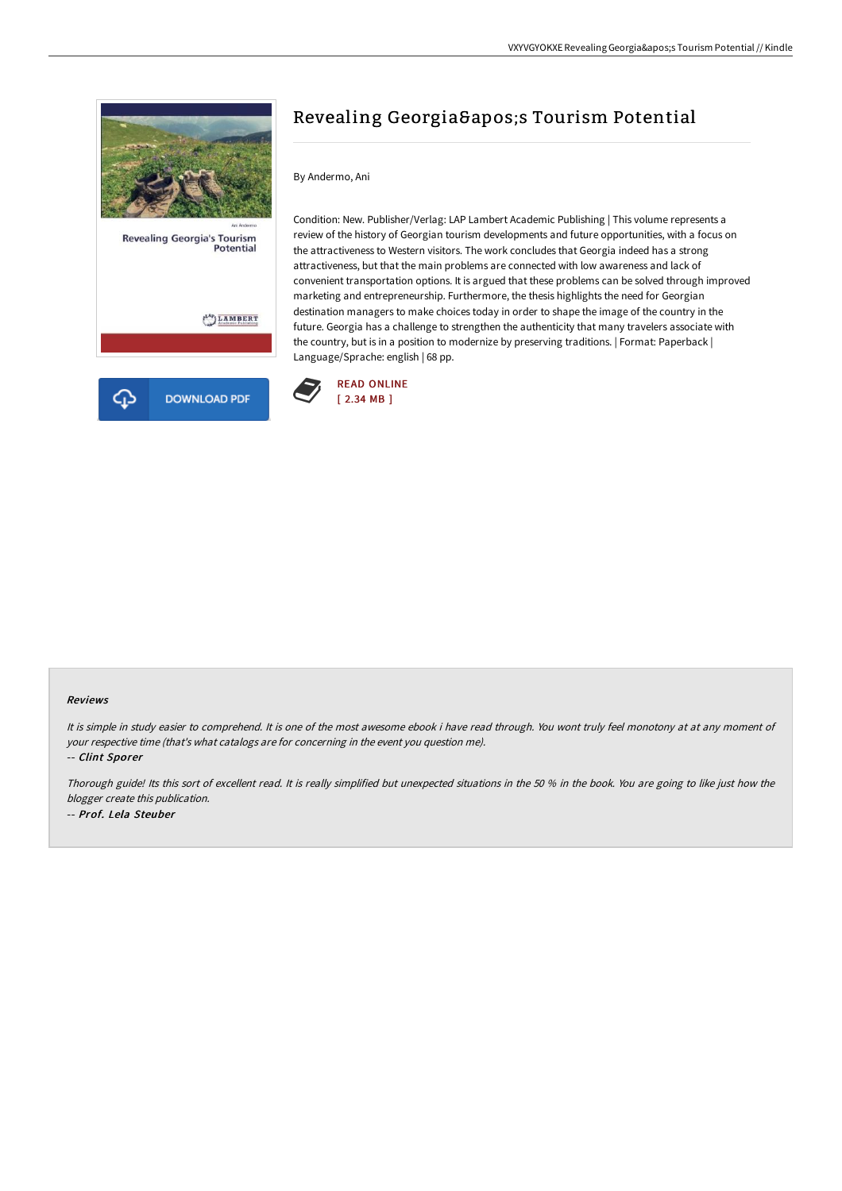

# Revealing Georgia & apos; S Tourism Potential

## By Andermo, Ani

Condition: New. Publisher/Verlag: LAP Lambert Academic Publishing | This volume represents a review of the history of Georgian tourism developments and future opportunities, with a focus on the attractiveness to Western visitors. The work concludes that Georgia indeed has a strong attractiveness, but that the main problems are connected with low awareness and lack of convenient transportation options. It is argued that these problems can be solved through improved marketing and entrepreneurship. Furthermore, the thesis highlights the need for Georgian destination managers to make choices today in order to shape the image of the country in the future. Georgia has a challenge to strengthen the authenticity that many travelers associate with the country, but is in a position to modernize by preserving traditions. | Format: Paperback | Language/Sprache: english | 68 pp.



#### Reviews

It is simple in study easier to comprehend. It is one of the most awesome ebook i have read through. You wont truly feel monotony at at any moment of your respective time (that's what catalogs are for concerning in the event you question me).

-- Clint Sporer

Thorough guide! Its this sort of excellent read. It is really simplified but unexpected situations in the <sup>50</sup> % in the book. You are going to like just how the blogger create this publication. -- Prof. Lela Steuber